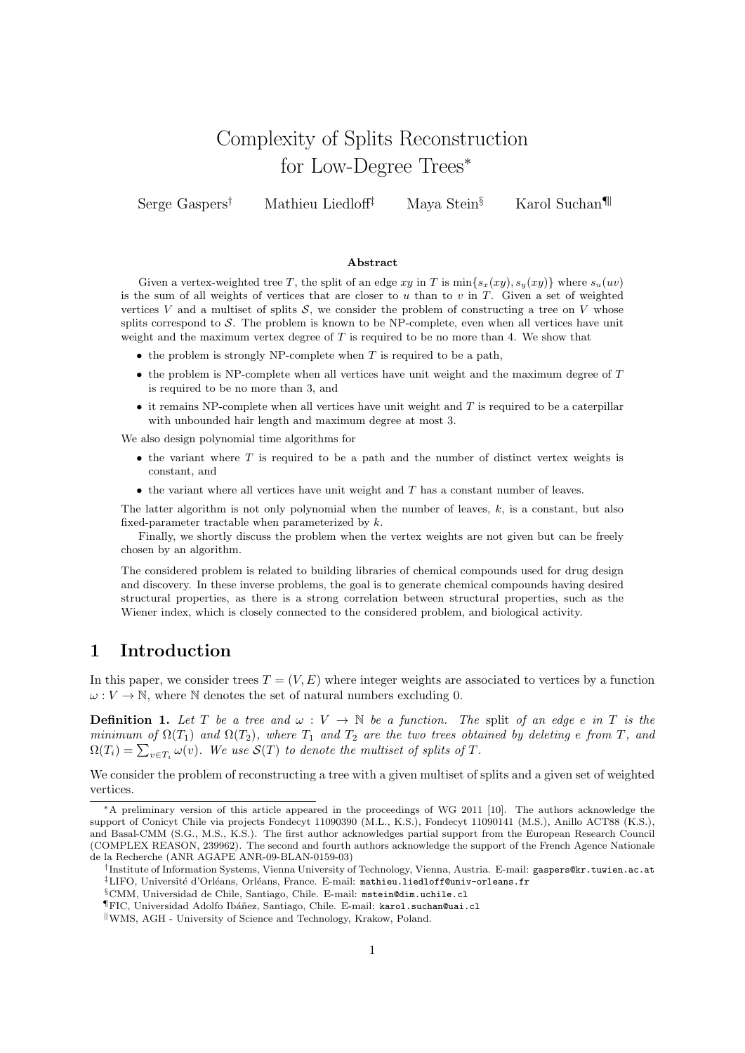# Complexity of Splits Reconstruction for Low-Degree Trees<sup>\*</sup>

Serge Gaspers<sup>†</sup> Mathieu Liedloff<sup>‡</sup> Maya Stein<sup>§</sup> Karol Suchan

#### Abstract

Given a vertex-weighted tree T, the split of an edge xy in T is  $\min\{s_x(xy), s_y(xy)\}\$  where  $s_u(uv)$ is the sum of all weights of vertices that are closer to  $u$  than to  $v$  in  $T$ . Given a set of weighted vertices V and a multiset of splits  $S$ , we consider the problem of constructing a tree on V whose splits correspond to  $S$ . The problem is known to be NP-complete, even when all vertices have unit weight and the maximum vertex degree of T is required to be no more than 4. We show that

- $\bullet$  the problem is strongly NP-complete when  $T$  is required to be a path,
- $\bullet$  the problem is NP-complete when all vertices have unit weight and the maximum degree of  $T$ is required to be no more than 3, and
- $\bullet$  it remains NP-complete when all vertices have unit weight and  $T$  is required to be a caterpillar with unbounded hair length and maximum degree at most 3.

We also design polynomial time algorithms for

- the variant where  $T$  is required to be a path and the number of distinct vertex weights is constant, and
- $\bullet$  the variant where all vertices have unit weight and  $T$  has a constant number of leaves.

The latter algorithm is not only polynomial when the number of leaves,  $k$ , is a constant, but also fixed-parameter tractable when parameterized by  $k$ .

Finally, we shortly discuss the problem when the vertex weights are not given but can be freely chosen by an algorithm.

The considered problem is related to building libraries of chemical compounds used for drug design and discovery. In these inverse problems, the goal is to generate chemical compounds having desired structural properties, as there is a strong correlation between structural properties, such as the Wiener index, which is closely connected to the considered problem, and biological activity.

### 1 Introduction

In this paper, we consider trees  $T = (V, E)$  where integer weights are associated to vertices by a function  $\omega: V \to \mathbb{N}$ , where N denotes the set of natural numbers excluding 0.

**Definition 1.** Let T be a tree and  $\omega : V \to \mathbb{N}$  be a function. The split of an edge e in T is the minimum of  $\Omega(T_1)$  and  $\Omega(T_2)$ , where  $T_1$  and  $T_2$  are the two trees obtained by deleting e from T, and  $\Omega(T_i) = \sum_{v \in T_i} \omega(v)$ . We use  $\mathcal{S}(T)$  to denote the multiset of splits of T.

We consider the problem of reconstructing a tree with a given multiset of splits and a given set of weighted vertices.

- §CMM, Universidad de Chile, Santiago, Chile. E-mail: mstein@dim.uchile.cl
- <sup>¶</sup>FIC, Universidad Adolfo Ibáñez, Santiago, Chile. E-mail: karol.suchan@uai.cl

<sup>∗</sup>A preliminary version of this article appeared in the proceedings of WG 2011 [10]. The authors acknowledge the support of Conicyt Chile via projects Fondecyt 11090390 (M.L., K.S.), Fondecyt 11090141 (M.S.), Anillo ACT88 (K.S.), and Basal-CMM (S.G., M.S., K.S.). The first author acknowledges partial support from the European Research Council (COMPLEX REASON, 239962). The second and fourth authors acknowledge the support of the French Agence Nationale de la Recherche (ANR AGAPE ANR-09-BLAN-0159-03)

<sup>†</sup> Institute of Information Systems, Vienna University of Technology, Vienna, Austria. E-mail: gaspers@kr.tuwien.ac.at  $^\ddag\text{LIFO},$ Université d'Orléans, Orléans, France. E-mail: mathieu.liedloff@univ-orleans.fr

WMS, AGH - University of Science and Technology, Krakow, Poland.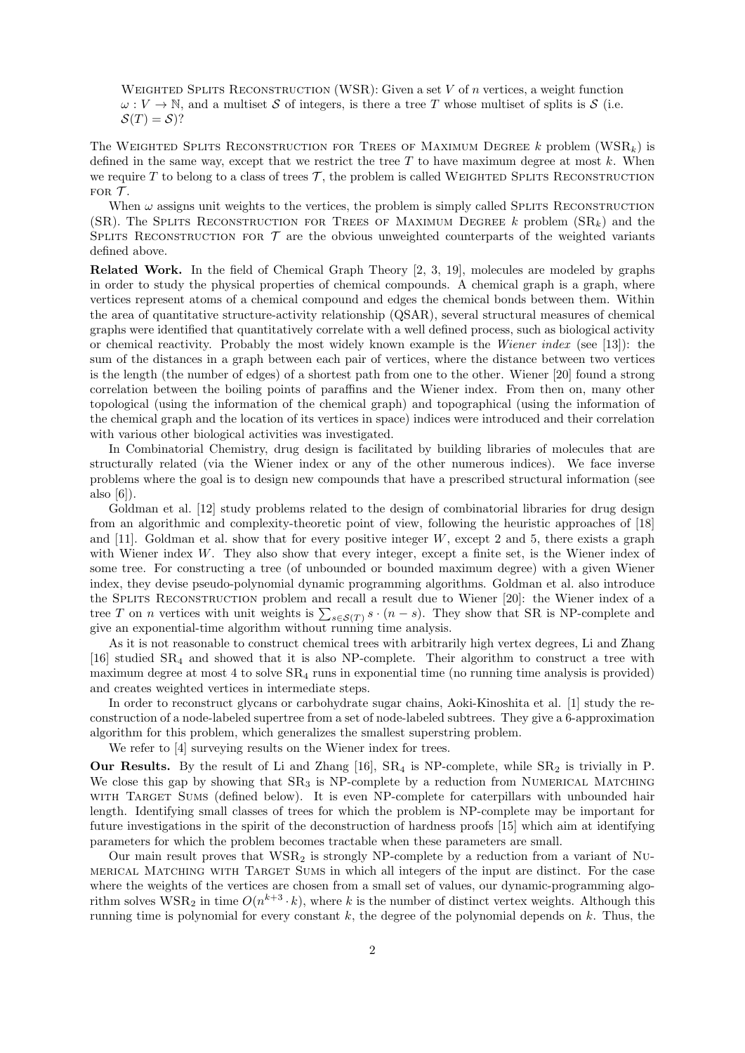WEIGHTED SPLITS RECONSTRUCTION (WSR): Given a set V of n vertices, a weight function  $\omega: V \to \mathbb{N}$ , and a multiset S of integers, is there a tree T whose multiset of splits is S (i.e.  $\mathcal{S}(T) = \mathcal{S}$ ?

The WEIGHTED SPLITS RECONSTRUCTION FOR TREES OF MAXIMUM DEGREE k problem  $(WSR_k)$  is defined in the same way, except that we restrict the tree  $T$  to have maximum degree at most  $k$ . When we require T to belong to a class of trees  $\mathcal{T}$ , the problem is called WEIGHTED SPLITS RECONSTRUCTION FOR  $\mathcal{T}$ .

When  $\omega$  assigns unit weights to the vertices, the problem is simply called SPLITS RECONSTRUCTION (SR). The SPLITS RECONSTRUCTION FOR TREES OF MAXIMUM DEGREE k problem  $(SR_k)$  and the SPLITS RECONSTRUCTION FOR  $\mathcal T$  are the obvious unweighted counterparts of the weighted variants defined above.

Related Work. In the field of Chemical Graph Theory [2, 3, 19], molecules are modeled by graphs in order to study the physical properties of chemical compounds. A chemical graph is a graph, where vertices represent atoms of a chemical compound and edges the chemical bonds between them. Within the area of quantitative structure-activity relationship (QSAR), several structural measures of chemical graphs were identified that quantitatively correlate with a well defined process, such as biological activity or chemical reactivity. Probably the most widely known example is the Wiener index (see [13]): the sum of the distances in a graph between each pair of vertices, where the distance between two vertices is the length (the number of edges) of a shortest path from one to the other. Wiener [20] found a strong correlation between the boiling points of paraffins and the Wiener index. From then on, many other topological (using the information of the chemical graph) and topographical (using the information of the chemical graph and the location of its vertices in space) indices were introduced and their correlation with various other biological activities was investigated.

In Combinatorial Chemistry, drug design is facilitated by building libraries of molecules that are structurally related (via the Wiener index or any of the other numerous indices). We face inverse problems where the goal is to design new compounds that have a prescribed structural information (see also  $[6]$ ).

Goldman et al. [12] study problems related to the design of combinatorial libraries for drug design from an algorithmic and complexity-theoretic point of view, following the heuristic approaches of [18] and  $[11]$ . Goldman et al. show that for every positive integer W, except 2 and 5, there exists a graph with Wiener index W. They also show that every integer, except a finite set, is the Wiener index of some tree. For constructing a tree (of unbounded or bounded maximum degree) with a given Wiener index, they devise pseudo-polynomial dynamic programming algorithms. Goldman et al. also introduce the SPLITS RECONSTRUCTION problem and recall a result due to Wiener [20]: the Wiener index of a tree T on n vertices with unit weights is  $\sum_{s \in \mathcal{S}(T)} s \cdot (n-s)$ . They show that SR is NP-complete and give an exponential-time algorithm without running time analysis.

As it is not reasonable to construct chemical trees with arbitrarily high vertex degrees, Li and Zhang [16] studied SR<sup>4</sup> and showed that it is also NP-complete. Their algorithm to construct a tree with maximum degree at most 4 to solve  $SR<sub>4</sub>$  runs in exponential time (no running time analysis is provided) and creates weighted vertices in intermediate steps.

In order to reconstruct glycans or carbohydrate sugar chains, Aoki-Kinoshita et al. [1] study the reconstruction of a node-labeled supertree from a set of node-labeled subtrees. They give a 6-approximation algorithm for this problem, which generalizes the smallest superstring problem.

We refer to [4] surveying results on the Wiener index for trees.

**Our Results.** By the result of Li and Zhang  $[16]$ ,  $SR_4$  is NP-complete, while  $SR_2$  is trivially in P. We close this gap by showing that  $SR<sub>3</sub>$  is NP-complete by a reduction from NUMERICAL MATCHING with Target Sums (defined below). It is even NP-complete for caterpillars with unbounded hair length. Identifying small classes of trees for which the problem is NP-complete may be important for future investigations in the spirit of the deconstruction of hardness proofs [15] which aim at identifying parameters for which the problem becomes tractable when these parameters are small.

Our main result proves that  $WSR<sub>2</sub>$  is strongly NP-complete by a reduction from a variant of NUmerical Matching with Target Sums in which all integers of the input are distinct. For the case where the weights of the vertices are chosen from a small set of values, our dynamic-programming algorithm solves  $WSR_2$  in time  $O(n^{k+3} \cdot k)$ , where k is the number of distinct vertex weights. Although this running time is polynomial for every constant  $k$ , the degree of the polynomial depends on  $k$ . Thus, the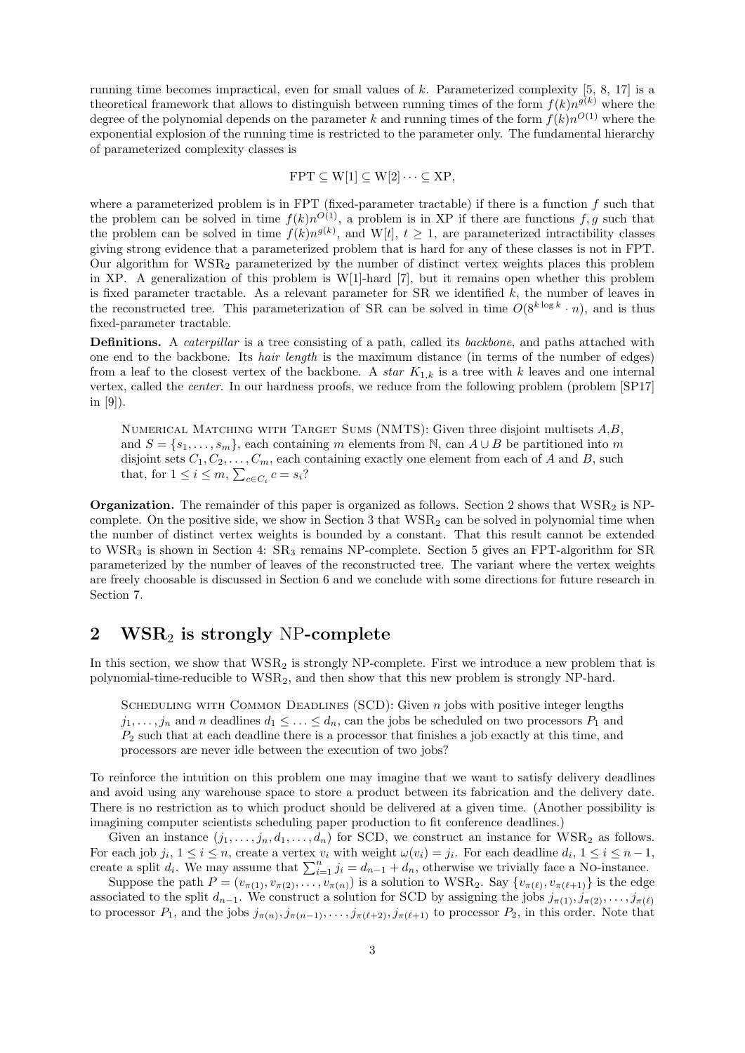running time becomes impractical, even for small values of k. Parameterized complexity [5, 8, 17] is a theoretical framework that allows to distinguish between running times of the form  $f(k)n^{g(k)}$  where the degree of the polynomial depends on the parameter k and running times of the form  $f(k)n^{O(1)}$  where the exponential explosion of the running time is restricted to the parameter only. The fundamental hierarchy of parameterized complexity classes is

$$
FPT \subseteq W[1] \subseteq W[2] \cdots \subseteq XP,
$$

where a parameterized problem is in FPT (fixed-parameter tractable) if there is a function  $f$  such that the problem can be solved in time  $f(k)n^{O(1)}$ , a problem is in XP if there are functions  $f, g$  such that the problem can be solved in time  $f(k)n^{g(k)}$ , and  $W[t], t \geq 1$ , are parameterized intractibility classes giving strong evidence that a parameterized problem that is hard for any of these classes is not in FPT. Our algorithm for  $WSR<sub>2</sub>$  parameterized by the number of distinct vertex weights places this problem in XP. A generalization of this problem is W[1]-hard [7], but it remains open whether this problem is fixed parameter tractable. As a relevant parameter for  $SR$  we identified  $k$ , the number of leaves in the reconstructed tree. This parameterization of SR can be solved in time  $O(8^{k \log k} \cdot n)$ , and is thus fixed-parameter tractable.

Definitions. A *caterpillar* is a tree consisting of a path, called its *backbone*, and paths attached with one end to the backbone. Its hair length is the maximum distance (in terms of the number of edges) from a leaf to the closest vertex of the backbone. A *star*  $K_{1,k}$  is a tree with k leaves and one internal vertex, called the center. In our hardness proofs, we reduce from the following problem (problem [SP17] in [9]).

NUMERICAL MATCHING WITH TARGET SUMS (NMTS): Given three disjoint multisets  $A,B$ , and  $S = \{s_1, \ldots, s_m\}$ , each containing m elements from N, can  $A \cup B$  be partitioned into m disjoint sets  $C_1, C_2, \ldots, C_m$ , each containing exactly one element from each of A and B, such that, for  $1 \leq i \leq m$ ,  $\sum_{c \in C_i} c = s_i$ ?

**Organization.** The remainder of this paper is organized as follows. Section 2 shows that  $WSR<sub>2</sub>$  is NPcomplete. On the positive side, we show in Section 3 that  $WSR<sub>2</sub>$  can be solved in polynomial time when the number of distinct vertex weights is bounded by a constant. That this result cannot be extended to  $WSR<sub>3</sub>$  is shown in Section 4:  $SR<sub>3</sub>$  remains NP-complete. Section 5 gives an FPT-algorithm for SR parameterized by the number of leaves of the reconstructed tree. The variant where the vertex weights are freely choosable is discussed in Section 6 and we conclude with some directions for future research in Section 7.

## 2  $WSR_2$  is strongly NP-complete

In this section, we show that  $WSR<sub>2</sub>$  is strongly NP-complete. First we introduce a new problem that is polynomial-time-reducible to WSR2, and then show that this new problem is strongly NP-hard.

SCHEDULING WITH COMMON DEADLINES (SCD): Given  $n$  jobs with positive integer lengths  $j_1, \ldots, j_n$  and n deadlines  $d_1 \leq \ldots \leq d_n$ , can the jobs be scheduled on two processors  $P_1$  and  $P<sub>2</sub>$  such that at each deadline there is a processor that finishes a job exactly at this time, and processors are never idle between the execution of two jobs?

To reinforce the intuition on this problem one may imagine that we want to satisfy delivery deadlines and avoid using any warehouse space to store a product between its fabrication and the delivery date. There is no restriction as to which product should be delivered at a given time. (Another possibility is imagining computer scientists scheduling paper production to fit conference deadlines.)

Given an instance  $(j_1, \ldots, j_n, d_1, \ldots, d_n)$  for SCD, we construct an instance for WSR<sub>2</sub> as follows. For each job  $j_i, 1 \le i \le n$ , create a vertex  $v_i$  with weight  $\omega(v_i) = j_i$ . For each deadline  $d_i, 1 \le i \le n-1$ , create a split  $d_i$ . We may assume that  $\sum_{i=1}^n j_i = d_{n-1} + d_n$ , otherwise we trivially face a No-instance.

Suppose the path  $P = (v_{\pi(1)}, v_{\pi(2)}, \ldots, v_{\pi(n)})$  is a solution to WSR<sub>2</sub>. Say  $\{v_{\pi(\ell)}, v_{\pi(\ell+1)}\}$  is the edge associated to the split  $d_{n-1}$ . We construct a solution for SCD by assigning the jobs  $j_{\pi(1)}, j_{\pi(2)}, \ldots, j_{\pi(\ell)}$ to processor  $P_1$ , and the jobs  $j_{\pi(n)}, j_{\pi(n-1)}, \ldots, j_{\pi(\ell+2)}, j_{\pi(\ell+1)}$  to processor  $P_2$ , in this order. Note that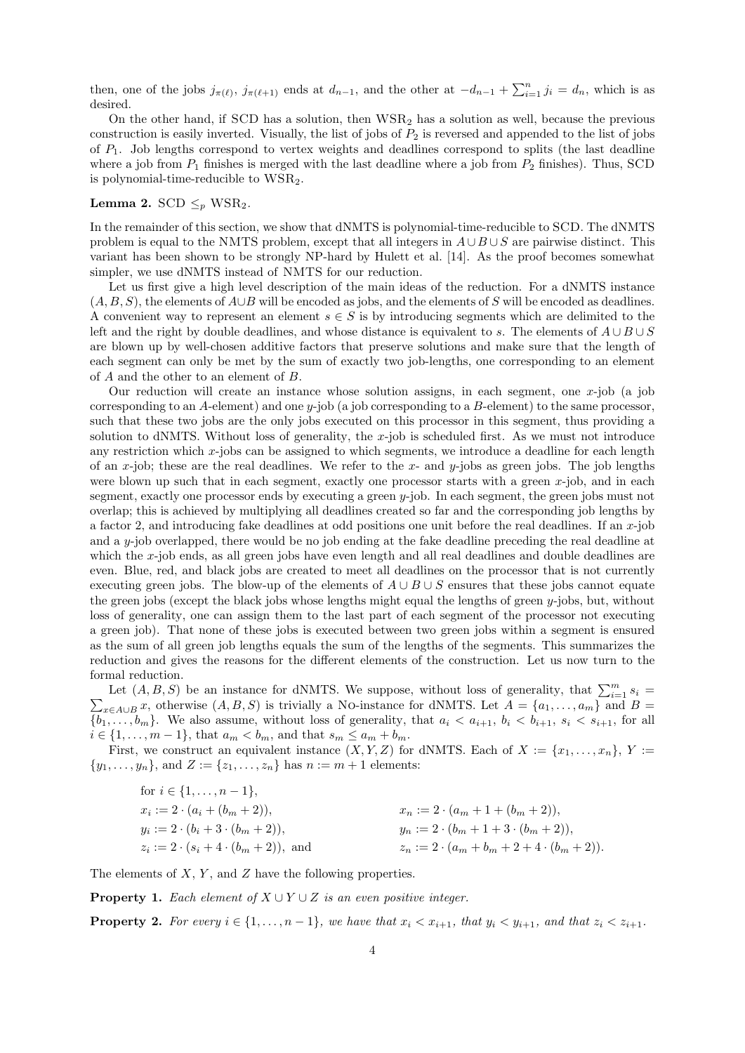then, one of the jobs  $j_{\pi(\ell)}, j_{\pi(\ell+1)}$  ends at  $d_{n-1}$ , and the other at  $-d_{n-1} + \sum_{i=1}^{n} j_i = d_n$ , which is as desired.

On the other hand, if SCD has a solution, then  $WSR<sub>2</sub>$  has a solution as well, because the previous construction is easily inverted. Visually, the list of jobs of  $P_2$  is reversed and appended to the list of jobs of  $P_1$ . Job lengths correspond to vertex weights and deadlines correspond to splits (the last deadline where a job from  $P_1$  finishes is merged with the last deadline where a job from  $P_2$  finishes). Thus, SCD is polynomial-time-reducible to WSR2.

#### **Lemma 2.** SCD  $\leq_p$  WSR<sub>2</sub>.

In the remainder of this section, we show that dNMTS is polynomial-time-reducible to SCD. The dNMTS problem is equal to the NMTS problem, except that all integers in  $A \cup B \cup S$  are pairwise distinct. This variant has been shown to be strongly NP-hard by Hulett et al. [14]. As the proof becomes somewhat simpler, we use dNMTS instead of NMTS for our reduction.

Let us first give a high level description of the main ideas of the reduction. For a dNMTS instance  $(A, B, S)$ , the elements of  $A \cup B$  will be encoded as jobs, and the elements of S will be encoded as deadlines. A convenient way to represent an element  $s \in S$  is by introducing segments which are delimited to the left and the right by double deadlines, and whose distance is equivalent to s. The elements of  $A \cup B \cup S$ are blown up by well-chosen additive factors that preserve solutions and make sure that the length of each segment can only be met by the sum of exactly two job-lengths, one corresponding to an element of A and the other to an element of B.

Our reduction will create an instance whose solution assigns, in each segment, one x-job (a job corresponding to an A-element) and one y-job (a job corresponding to a B-element) to the same processor, such that these two jobs are the only jobs executed on this processor in this segment, thus providing a solution to dNMTS. Without loss of generality, the  $x$ -job is scheduled first. As we must not introduce any restriction which  $x$ -jobs can be assigned to which segments, we introduce a deadline for each length of an x-job; these are the real deadlines. We refer to the x- and y-jobs as green jobs. The job lengths were blown up such that in each segment, exactly one processor starts with a green  $x$ -job, and in each segment, exactly one processor ends by executing a green y-job. In each segment, the green jobs must not overlap; this is achieved by multiplying all deadlines created so far and the corresponding job lengths by a factor 2, and introducing fake deadlines at odd positions one unit before the real deadlines. If an x-job and a y-job overlapped, there would be no job ending at the fake deadline preceding the real deadline at which the x-job ends, as all green jobs have even length and all real deadlines and double deadlines are even. Blue, red, and black jobs are created to meet all deadlines on the processor that is not currently executing green jobs. The blow-up of the elements of  $A \cup B \cup S$  ensures that these jobs cannot equate the green jobs (except the black jobs whose lengths might equal the lengths of green y-jobs, but, without loss of generality, one can assign them to the last part of each segment of the processor not executing a green job). That none of these jobs is executed between two green jobs within a segment is ensured as the sum of all green job lengths equals the sum of the lengths of the segments. This summarizes the reduction and gives the reasons for the different elements of the construction. Let us now turn to the formal reduction.

Let  $(A, B, S)$  be an instance for dNMTS. We suppose, without loss of generality, that  $\sum_{i=1}^{m} s_i =$  $\sum_{x \in A \cup B} x$ , otherwise  $(A, B, S)$  is trivially a No-instance for dNMTS. Let  $A = \{a_1, \ldots, a_m\}$  and  $B =$  ${\overline{\{b_1,\ldots,b_m\}}}$ . We also assume, without loss of generality, that  $a_i < a_{i+1}$ ,  $b_i < b_{i+1}$ ,  $s_i < s_{i+1}$ , for all  $i \in \{1, \ldots, m-1\}$ , that  $a_m < b_m$ , and that  $s_m \le a_m + b_m$ .

First, we construct an equivalent instance  $(X, Y, Z)$  for dNMTS. Each of  $X := \{x_1, \ldots, x_n\}, Y :=$  $\{y_1, \ldots, y_n\}$ , and  $Z := \{z_1, \ldots, z_n\}$  has  $n := m + 1$  elements:

for 
$$
i \in \{1, ..., n-1\}
$$
,  
\n $x_i := 2 \cdot (a_i + (b_m + 2)),$   
\n $y_i := 2 \cdot (b_i + 3 \cdot (b_m + 2)),$   
\n $z_i := 2 \cdot (s_i + 4 \cdot (b_m + 2)),$   
\n $z_m := 2 \cdot (b_m + 1 + 3 \cdot (b_m + 2)),$   
\n $z_m := 2 \cdot (a_m + b_m + 2 + 4 \cdot (b_m + 2)).$ 

The elements of  $X, Y$ , and  $Z$  have the following properties.

**Property 1.** Each element of  $X \cup Y \cup Z$  is an even positive integer.

**Property 2.** For every  $i \in \{1, \ldots, n-1\}$ , we have that  $x_i < x_{i+1}$ , that  $y_i < y_{i+1}$ , and that  $z_i < z_{i+1}$ .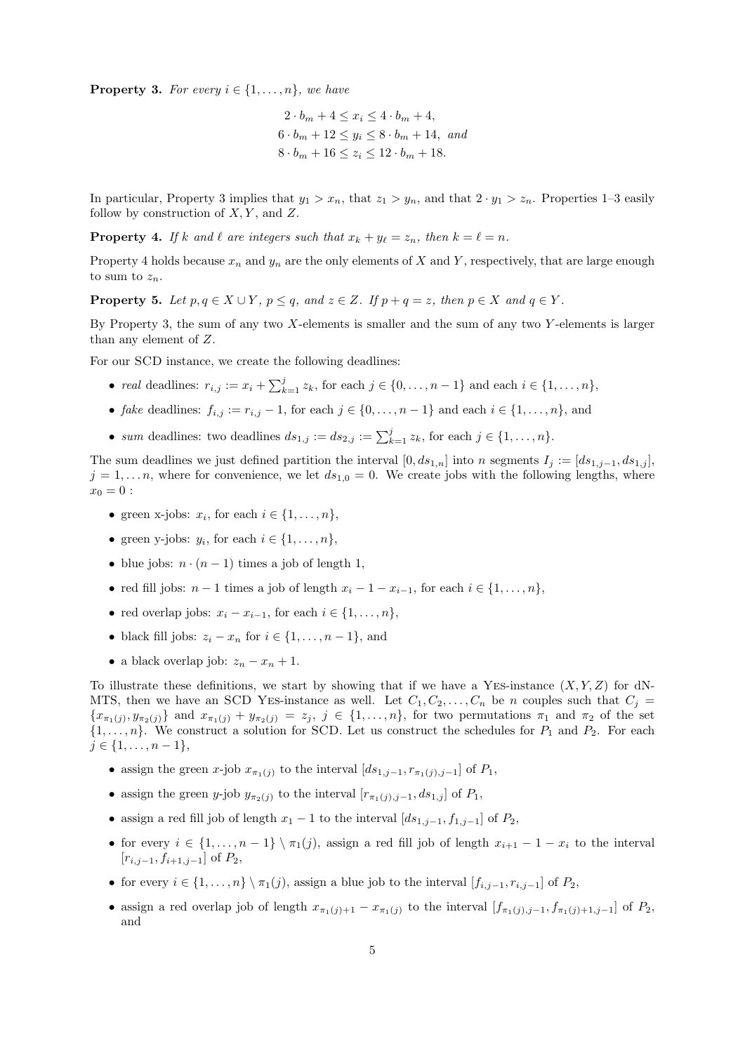**Property 3.** For every  $i \in \{1, \ldots, n\}$ , we have

$$
2 \cdot b_m + 4 \le x_i \le 4 \cdot b_m + 4,
$$
  

$$
6 \cdot b_m + 12 \le y_i \le 8 \cdot b_m + 14, \text{ and}
$$
  

$$
8 \cdot b_m + 16 \le z_i \le 12 \cdot b_m + 18.
$$

In particular, Property 3 implies that  $y_1 > x_n$ , that  $z_1 > y_n$ , and that  $2 \cdot y_1 > z_n$ . Properties 1–3 easily follow by construction of  $X, Y$ , and  $Z$ .

**Property 4.** If k and  $\ell$  are integers such that  $x_k + y_\ell = z_n$ , then  $k = \ell = n$ .

Property 4 holds because  $x_n$  and  $y_n$  are the only elements of X and Y, respectively, that are large enough to sum to  $z_n$ .

**Property 5.** Let  $p, q \in X \cup Y$ ,  $p \leq q$ , and  $z \in Z$ . If  $p + q = z$ , then  $p \in X$  and  $q \in Y$ .

By Property 3, the sum of any two X-elements is smaller and the sum of any two Y -elements is larger than any element of Z.

For our SCD instance, we create the following deadlines:

- real deadlines:  $r_{i,j} := x_i + \sum_{k=1}^j z_k$ , for each  $j \in \{0, \ldots, n-1\}$  and each  $i \in \{1, \ldots, n\}$ ,
- fake deadlines:  $f_{i,j} := r_{i,j} 1$ , for each  $j \in \{0, \ldots, n-1\}$  and each  $i \in \{1, \ldots, n\}$ , and
- sum deadlines: two deadlines  $ds_{1,j} := ds_{2,j} := \sum_{k=1}^j z_k$ , for each  $j \in \{1, \ldots, n\}$ .

The sum deadlines we just defined partition the interval  $[0, ds_{1,n}]$  into n segments  $I_j := [ds_{1,j-1}, ds_{1,j}]$ ,  $j = 1, \ldots n$ , where for convenience, we let  $ds_{1,0} = 0$ . We create jobs with the following lengths, where  $x_0 = 0$ :

- green x-jobs:  $x_i$ , for each  $i \in \{1, \ldots, n\}$ ,
- green y-jobs:  $y_i$ , for each  $i \in \{1, \ldots, n\}$ ,
- blue jobs:  $n \cdot (n-1)$  times a job of length 1,
- red fill jobs:  $n-1$  times a job of length  $x_i 1 x_{i-1}$ , for each  $i \in \{1, ..., n\}$ ,
- red overlap jobs:  $x_i x_{i-1}$ , for each  $i \in \{1, \ldots, n\}$ ,
- black fill jobs:  $z_i x_n$  for  $i \in \{1, \ldots, n-1\}$ , and
- a black overlap job:  $z_n x_n + 1$ .

To illustrate these definitions, we start by showing that if we have a YES-instance  $(X, Y, Z)$  for dN-MTS, then we have an SCD YES-instance as well. Let  $C_1, C_2, \ldots, C_n$  be n couples such that  $C_j =$  ${x_{\pi_1(j)}, y_{\pi_2(j)}}$  and  ${x_{\pi_1(j)} + y_{\pi_2(j)}} = z_j$ ,  $j \in \{1, \ldots, n\}$ , for two permutations  $\pi_1$  and  $\pi_2$  of the set  $\{1,\ldots,n\}$ . We construct a solution for SCD. Let us construct the schedules for  $P_1$  and  $P_2$ . For each  $j \in \{1, \ldots, n-1\},\$ 

- assign the green x-job  $x_{\pi_1(j)}$  to the interval  $[ds_{1,j-1}, r_{\pi_1(j),j-1}]$  of  $P_1$ ,
- assign the green y-job  $y_{\pi_2(j)}$  to the interval  $[r_{\pi_1(j),j-1}, ds_{1,j}]$  of  $P_1$ ,
- assign a red fill job of length  $x_1 1$  to the interval  $(ds_{1,j-1}, f_{1,j-1}]$  of  $P_2$ ,
- for every  $i \in \{1, \ldots, n-1\} \setminus \pi_1(j)$ , assign a red fill job of length  $x_{i+1} 1 x_i$  to the interval  $[r_{i,j-1}, f_{i+1,j-1}]$  of  $P_2$ ,
- for every  $i \in \{1, \ldots, n\} \setminus \pi_1(j)$ , assign a blue job to the interval  $[f_{i,j-1}, r_{i,j-1}]$  of  $P_2$ ,
- assign a red overlap job of length  $x_{\pi_1(j)+1} x_{\pi_1(j)}$  to the interval  $[f_{\pi_1(j),j-1}, f_{\pi_1(j)+1,j-1}]$  of  $P_2$ , and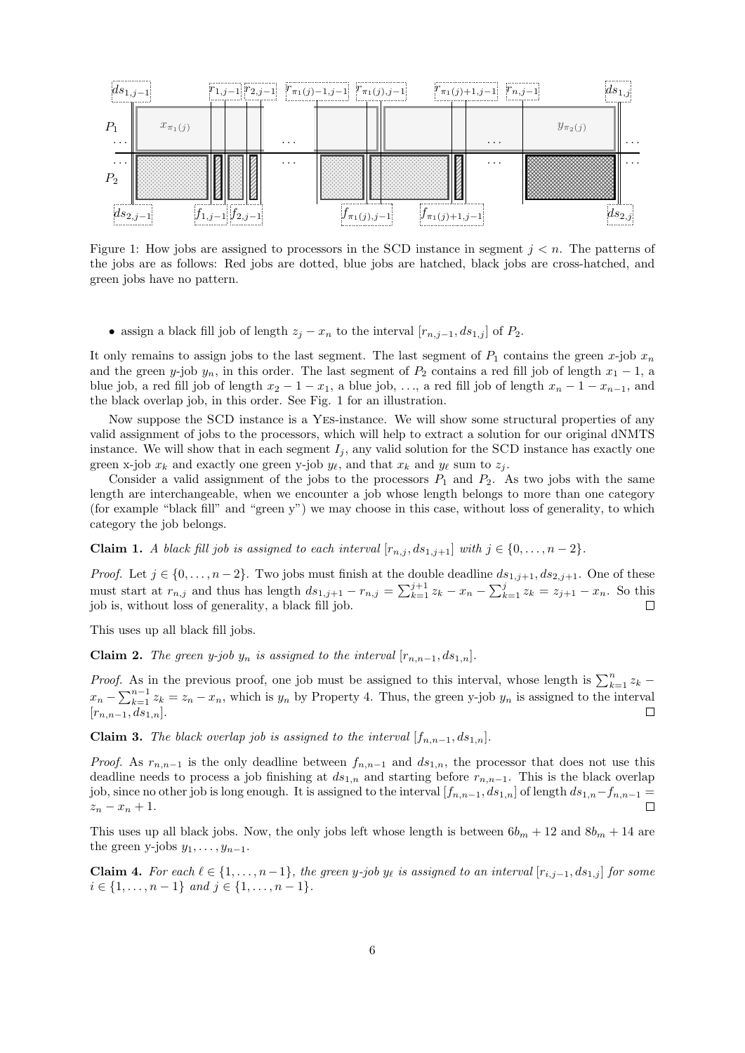

Figure 1: How jobs are assigned to processors in the SCD instance in segment  $j < n$ . The patterns of the jobs are as follows: Red jobs are dotted, blue jobs are hatched, black jobs are cross-hatched, and green jobs have no pattern.

• assign a black fill job of length  $z_j - x_n$  to the interval  $[r_{n,j-1}, ds_{1,j}]$  of  $P_2$ .

It only remains to assign jobs to the last segment. The last segment of  $P_1$  contains the green x-job  $x_n$ and the green y-job y<sub>n</sub>, in this order. The last segment of  $P_2$  contains a red fill job of length  $x_1 - 1$ , a blue job, a red fill job of length  $x_2 - 1 - x_1$ , a blue job, ..., a red fill job of length  $x_n - 1 - x_{n-1}$ , and the black overlap job, in this order. See Fig. 1 for an illustration.

Now suppose the SCD instance is a Yes-instance. We will show some structural properties of any valid assignment of jobs to the processors, which will help to extract a solution for our original dNMTS instance. We will show that in each segment  $I_j$ , any valid solution for the SCD instance has exactly one green x-job  $x_k$  and exactly one green y-job  $y_\ell$ , and that  $x_k$  and  $y_\ell$  sum to  $z_j$ .

Consider a valid assignment of the jobs to the processors  $P_1$  and  $P_2$ . As two jobs with the same length are interchangeable, when we encounter a job whose length belongs to more than one category (for example "black fill" and "green y") we may choose in this case, without loss of generality, to which category the job belongs.

Claim 1. A black fill job is assigned to each interval  $[r_{n,j}, ds_{1,j+1}]$  with  $j \in \{0, \ldots, n-2\}$ .

*Proof.* Let  $j \in \{0, \ldots, n-2\}$ . Two jobs must finish at the double deadline  $ds_{1,j+1}, ds_{2,j+1}$ . One of these must start at  $r_{n,j}$  and thus has length  $ds_{1,j+1} - r_{n,j} = \sum_{k=1}^{j+1} z_k - x_n - \sum_{k=1}^{j} z_k = z_{j+1} - x_n$ . So this job is, without loss of generality, a black fill job. П

This uses up all black fill jobs.

Claim 2. The green y-job  $y_n$  is assigned to the interval  $[r_{n,n-1}, ds_{1,n}]$ .

*Proof.* As in the previous proof, one job must be assigned to this interval, whose length is  $\sum_{k=1}^{n} z_k$  –  $x_n - \sum_{k=1}^{n-1} z_k = z_n - x_n$ , which is  $y_n$  by Property 4. Thus, the green y-job  $y_n$  is assigned to the interval  $[r_{n,n-1}, ds_{1,n}].$ 

**Claim 3.** The black overlap job is assigned to the interval  $[f_{n,n-1}, ds_{1,n}]$ .

*Proof.* As  $r_{n,n-1}$  is the only deadline between  $f_{n,n-1}$  and  $ds_{1,n}$ , the processor that does not use this deadline needs to process a job finishing at  $ds_{1,n}$  and starting before  $r_{n,n-1}$ . This is the black overlap job, since no other job is long enough. It is assigned to the interval  $[f_{n,n-1}, ds_{1,n}]$  of length  $ds_{1,n}-f_{n,n-1}$  =  $\Box$  $z_n - x_n + 1.$ 

This uses up all black jobs. Now, the only jobs left whose length is between  $6b_m + 12$  and  $8b_m + 14$  are the green y-jobs  $y_1, \ldots, y_{n-1}$ .

Claim 4. For each  $\ell \in \{1, \ldots, n-1\}$ , the green y-job  $y_{\ell}$  is assigned to an interval  $[r_{i,j-1}, ds_{1,j}]$  for some  $i \in \{1, \ldots, n-1\}$  and  $j \in \{1, \ldots, n-1\}.$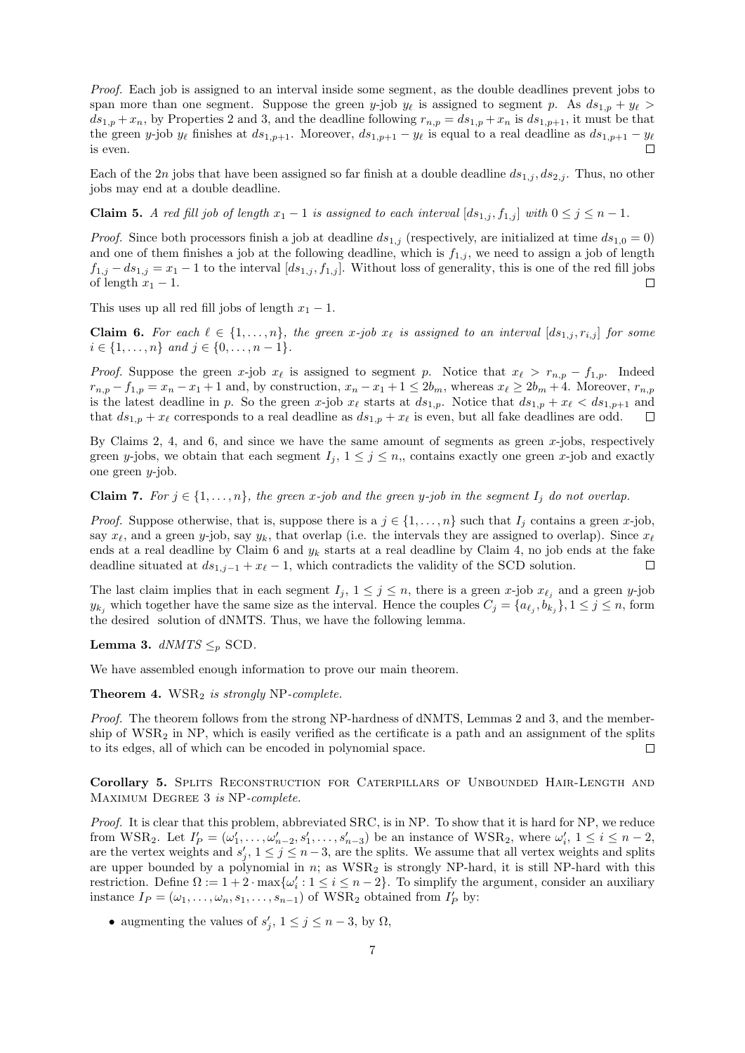Proof. Each job is assigned to an interval inside some segment, as the double deadlines prevent jobs to span more than one segment. Suppose the green y-job  $y_\ell$  is assigned to segment p. As  $ds_{1,p} + y_\ell >$  $ds_{1,p} + x_n$ , by Properties 2 and 3, and the deadline following  $r_{n,p} = ds_{1,p} + x_n$  is  $ds_{1,p+1}$ , it must be that the green y-job  $y_{\ell}$  finishes at  $ds_{1,p+1}$ . Moreover,  $ds_{1,p+1} - y_{\ell}$  is equal to a real deadline as  $ds_{1,p+1} - y_{\ell}$  is even. is even.

Each of the 2n jobs that have been assigned so far finish at a double deadline  $ds_{1,j}$ ,  $ds_{2,j}$ . Thus, no other jobs may end at a double deadline.

Claim 5. A red fill job of length  $x_1 - 1$  is assigned to each interval  $[ds_{1,j}, f_{1,j}]$  with  $0 \le j \le n - 1$ .

*Proof.* Since both processors finish a job at deadline  $ds_{1,j}$  (respectively, are initialized at time  $ds_{1,0} = 0$ ) and one of them finishes a job at the following deadline, which is  $f_{1,j}$ , we need to assign a job of length  $f_{1,j} - ds_{1,j} = x_1 - 1$  to the interval  $(ds_{1,j}, f_{1,j}]$ . Without loss of generality, this is one of the red fill jobs of length  $x_1 - 1$ .  $\Box$ 

This uses up all red fill jobs of length  $x_1 - 1$ .

**Claim 6.** For each  $\ell \in \{1, ..., n\}$ , the green x-job  $x_{\ell}$  is assigned to an interval  $[ds_{1,j}, r_{i,j}]$  for some  $i \in \{1, \ldots, n\}$  and  $j \in \{0, \ldots, n-1\}.$ 

*Proof.* Suppose the green x-job  $x_{\ell}$  is assigned to segment p. Notice that  $x_{\ell} > r_{n,p} - f_{1,p}$ . Indeed  $r_{n,p} - f_{1,p} = x_n - x_1 + 1$  and, by construction,  $x_n - x_1 + 1 \leq 2b_m$ , whereas  $x_\ell \geq 2b_m + 4$ . Moreover,  $r_{n,p}$ is the latest deadline in p. So the green x-job  $x_\ell$  starts at  $ds_{1,p}$ . Notice that  $ds_{1,p} + x_\ell < ds_{1,p+1}$  and that  $ds_{1,p} + x_\ell$  corresponds to a real deadline as  $ds_{1,p} + x_\ell$  is even, but all fake deadlines are odd.  $\Box$ 

By Claims 2, 4, and 6, and since we have the same amount of segments as green x-jobs, respectively green y-jobs, we obtain that each segment  $I_j$ ,  $1 \leq j \leq n$ , contains exactly one green x-job and exactly one green y-job.

**Claim 7.** For  $j \in \{1, \ldots, n\}$ , the green x-job and the green y-job in the segment  $I_j$  do not overlap.

*Proof.* Suppose otherwise, that is, suppose there is a  $j \in \{1, \ldots, n\}$  such that  $I_j$  contains a green x-job, say  $x_{\ell}$ , and a green y-job, say  $y_k$ , that overlap (i.e. the intervals they are assigned to overlap). Since  $x_{\ell}$ ends at a real deadline by Claim 6 and  $y_k$  starts at a real deadline by Claim 4, no job ends at the fake deadline situated at  $ds_{1,j-1} + x_{\ell} - 1$ , which contradicts the validity of the SCD solution.  $\Box$ 

The last claim implies that in each segment  $I_j$ ,  $1 \leq j \leq n$ , there is a green x-job  $x_{\ell_j}$  and a green y-job  $y_{k_j}$  which together have the same size as the interval. Hence the couples  $C_j = \{a_{\ell_j}, b_{k_j}\}, 1 \le j \le n$ , form the desired solution of dNMTS. Thus, we have the following lemma.

Lemma 3.  $dNMTS \leq_p SCD$ .

We have assembled enough information to prove our main theorem.

**Theorem 4.** WSR<sub>2</sub> is strongly NP-complete.

Proof. The theorem follows from the strong NP-hardness of dNMTS, Lemmas 2 and 3, and the membership of  $WSR<sub>2</sub>$  in NP, which is easily verified as the certificate is a path and an assignment of the splits to its edges, all of which can be encoded in polynomial space. П

Corollary 5. Splits Reconstruction for Caterpillars of Unbounded Hair-Length and Maximum Degree 3 is NP-complete.

Proof. It is clear that this problem, abbreviated SRC, is in NP. To show that it is hard for NP, we reduce from WSR<sub>2</sub>. Let  $I'_P = (\omega'_1, \ldots, \omega'_{n-2}, s'_1, \ldots, s'_{n-3})$  be an instance of WSR<sub>2</sub>, where  $\omega'_i$ ,  $1 \leq i \leq n-2$ , are the vertex weights and  $s'_j$ ,  $1 \leq j \leq n-3$ , are the splits. We assume that all vertex weights and splits are upper bounded by a polynomial in  $n$ ; as  $WSR<sub>2</sub>$  is strongly NP-hard, it is still NP-hard with this restriction. Define  $\Omega := 1 + 2 \cdot \max\{\omega_i' : 1 \le i \le n-2\}$ . To simplify the argument, consider an auxiliary instance  $I_P = (\omega_1, \ldots, \omega_n, s_1, \ldots, s_{n-1})$  of WSR<sub>2</sub> obtained from  $I'_P$  by:

• augmenting the values of  $s'_j$ ,  $1 \le j \le n-3$ , by  $\Omega$ ,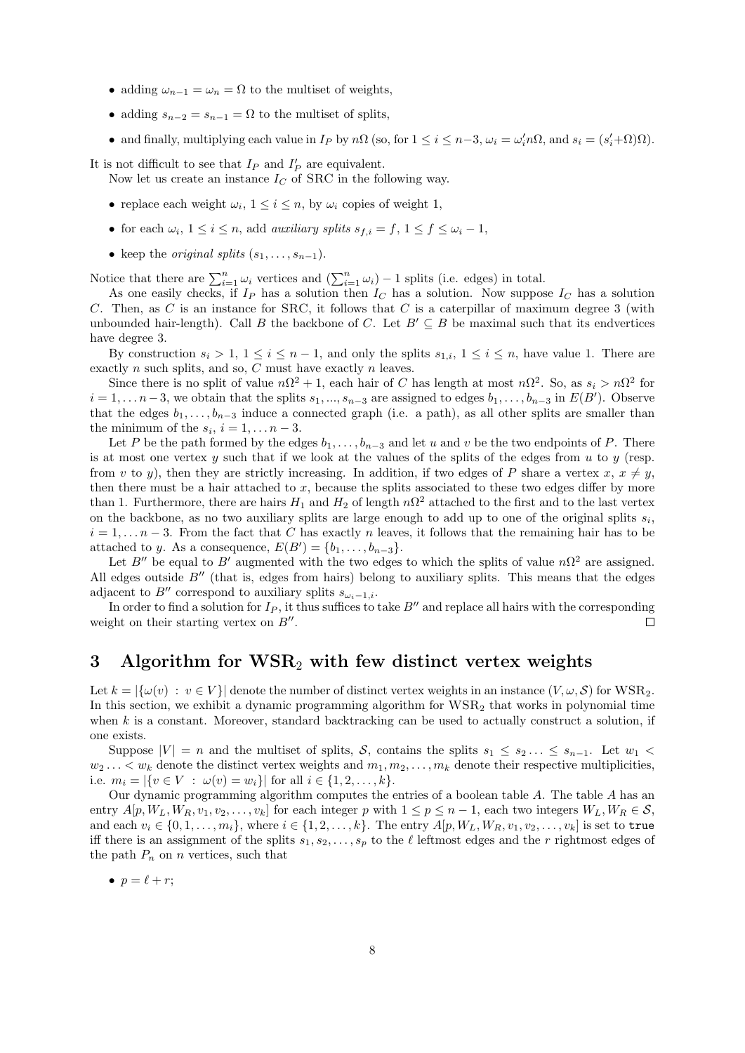- adding  $\omega_{n-1} = \omega_n = \Omega$  to the multiset of weights,
- adding  $s_{n-2} = s_{n-1} = \Omega$  to the multiset of splits,
- and finally, multiplying each value in  $I_P$  by  $n\Omega$  (so, for  $1 \le i \le n-3$ ,  $\omega_i = \omega_i' n\Omega$ , and  $s_i = (s_i' + \Omega)\Omega$ ).

It is not difficult to see that  $I_P$  and  $I'_P$  are equivalent.

Now let us create an instance  $I_C$  of SRC in the following way.

- replace each weight  $\omega_i$ ,  $1 \leq i \leq n$ , by  $\omega_i$  copies of weight 1,
- for each  $\omega_i$ ,  $1 \leq i \leq n$ , add *auxiliary splits*  $s_{f,i} = f$ ,  $1 \leq f \leq \omega_i 1$ ,
- keep the *original splits*  $(s_1, \ldots, s_{n-1})$ .

Notice that there are  $\sum_{i=1}^{n} \omega_i$  vertices and  $(\sum_{i=1}^{n} \omega_i) - 1$  splits (i.e. edges) in total.

As one easily checks, if  $I_P$  has a solution then  $I_C$  has a solution. Now suppose  $I_C$  has a solution C. Then, as C is an instance for SRC, it follows that C is a caterpillar of maximum degree 3 (with unbounded hair-length). Call B the backbone of C. Let  $B' \subseteq B$  be maximal such that its endvertices have degree 3.

By construction  $s_i > 1$ ,  $1 \leq i \leq n-1$ , and only the splits  $s_{1,i}$ ,  $1 \leq i \leq n$ , have value 1. There are exactly  $n$  such splits, and so,  $C$  must have exactly  $n$  leaves.

Since there is no split of value  $n\Omega^2 + 1$ , each hair of C has length at most  $n\Omega^2$ . So, as  $s_i > n\Omega^2$  for  $i = 1, \ldots n-3$ , we obtain that the splits  $s_1, \ldots, s_{n-3}$  are assigned to edges  $b_1, \ldots, b_{n-3}$  in  $E(B')$ . Observe that the edges  $b_1, \ldots, b_{n-3}$  induce a connected graph (i.e. a path), as all other splits are smaller than the minimum of the  $s_i$ ,  $i = 1, \ldots n-3$ .

Let P be the path formed by the edges  $b_1, \ldots, b_{n-3}$  and let u and v be the two endpoints of P. There is at most one vertex y such that if we look at the values of the splits of the edges from  $u$  to  $y$  (resp. from v to y), then they are strictly increasing. In addition, if two edges of P share a vertex  $x, x \neq y$ , then there must be a hair attached to  $x$ , because the splits associated to these two edges differ by more than 1. Furthermore, there are hairs  $H_1$  and  $H_2$  of length  $n\Omega^2$  attached to the first and to the last vertex on the backbone, as no two auxiliary splits are large enough to add up to one of the original splits  $s_i$ ,  $i = 1, \ldots n-3$ . From the fact that C has exactly n leaves, it follows that the remaining hair has to be attached to y. As a consequence,  $E(B') = \{b_1, \ldots, b_{n-3}\}.$ 

Let B<sup>"</sup> be equal to B<sup>'</sup> augmented with the two edges to which the splits of value  $n\Omega^2$  are assigned. All edges outside  $B''$  (that is, edges from hairs) belong to auxiliary splits. This means that the edges adjacent to B<sup> $\prime\prime$ </sup> correspond to auxiliary splits  $s_{\omega_i-1,i}$ .

In order to find a solution for  $I_P$ , it thus suffices to take  $B''$  and replace all hairs with the corresponding weight on their starting vertex on  $B''$ .  $\Box$ 

## 3 Algorithm for  $WSR<sub>2</sub>$  with few distinct vertex weights

Let  $k = |\{\omega(v) : v \in V\}|$  denote the number of distinct vertex weights in an instance  $(V, \omega, S)$  for WSR<sub>2</sub>. In this section, we exhibit a dynamic programming algorithm for  $WSR<sub>2</sub>$  that works in polynomial time when  $k$  is a constant. Moreover, standard backtracking can be used to actually construct a solution, if one exists.

Suppose  $|V| = n$  and the multiset of splits, S, contains the splits  $s_1 \leq s_2 \ldots \leq s_{n-1}$ . Let  $w_1$  $w_2 \ldots \langle w_k \rangle$  denote the distinct vertex weights and  $m_1, m_2, \ldots, m_k$  denote their respective multiplicities, i.e.  $m_i = |\{v \in V : \omega(v) = w_i\}|$  for all  $i \in \{1, 2, ..., k\}.$ 

Our dynamic programming algorithm computes the entries of a boolean table A. The table A has an entry  $A[p, W_L, W_R, v_1, v_2, \ldots, v_k]$  for each integer p with  $1 \leq p \leq n-1$ , each two integers  $W_L, W_R \in \mathcal{S}$ , and each  $v_i \in \{0, 1, \ldots, m_i\}$ , where  $i \in \{1, 2, \ldots, k\}$ . The entry  $A[p, W_L, W_R, v_1, v_2, \ldots, v_k]$  is set to true iff there is an assignment of the splits  $s_1, s_2, \ldots, s_p$  to the  $\ell$  leftmost edges and the r rightmost edges of the path  $P_n$  on n vertices, such that

$$
\bullet \ \ p = \ell + r;
$$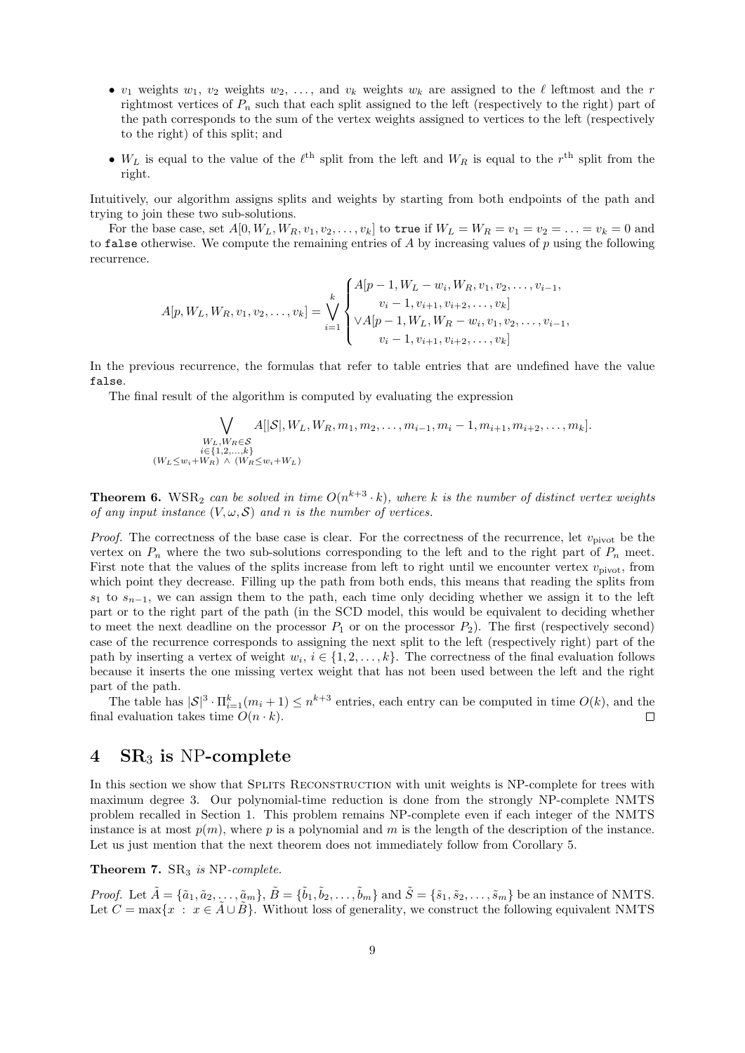- $v_1$  weights  $w_1, v_2$  weights  $w_2, \ldots$ , and  $v_k$  weights  $w_k$  are assigned to the  $\ell$  leftmost and the r rightmost vertices of  $P_n$  such that each split assigned to the left (respectively to the right) part of the path corresponds to the sum of the vertex weights assigned to vertices to the left (respectively to the right) of this split; and
- $W_L$  is equal to the value of the  $\ell^{\text{th}}$  split from the left and  $W_R$  is equal to the  $r^{\text{th}}$  split from the right.

Intuitively, our algorithm assigns splits and weights by starting from both endpoints of the path and trying to join these two sub-solutions.

For the base case, set  $A[0, W_L, W_R, v_1, v_2, \ldots, v_k]$  to true if  $W_L = W_R = v_1 = v_2 = \ldots = v_k = 0$  and to false otherwise. We compute the remaining entries of  $A$  by increasing values of  $p$  using the following recurrence.

$$
A[p, W_L, W_R, v_1, v_2, \dots, v_k] = \bigvee_{i=1}^k \begin{cases} A[p-1, W_L - w_i, W_R, v_1, v_2, \dots, v_{i-1}, \\ v_i - 1, v_{i+1}, v_{i+2}, \dots, v_k] \\ \forall A[p-1, W_L, W_R - w_i, v_1, v_2, \dots, v_{i-1}, \\ v_i - 1, v_{i+1}, v_{i+2}, \dots, v_k] \end{cases}
$$

In the previous recurrence, the formulas that refer to table entries that are undefined have the value false.

The final result of the algorithm is computed by evaluating the expression

$$
\bigvee_{\substack{W_L, W_R \in \mathcal{S} \\ i \in \{1, 2, \ldots, k\} \\ (W_L \le w_i + W_R) \ \land \ (W_R \le w_i + W_L)}} A[|\mathcal{S}|, W_L, W_R, m_1, m_2, \ldots, m_{i-1}, m_i - 1, m_{i+1}, m_{i+2}, \ldots, m_k].
$$

**Theorem 6.** WSR<sub>2</sub> can be solved in time  $O(n^{k+3} \cdot k)$ , where k is the number of distinct vertex weights of any input instance  $(V, \omega, S)$  and n is the number of vertices.

*Proof.* The correctness of the base case is clear. For the correctness of the recurrence, let  $v_{\text{pivot}}$  be the vertex on  $P_n$  where the two sub-solutions corresponding to the left and to the right part of  $P_n$  meet. First note that the values of the splits increase from left to right until we encounter vertex  $v_{\text{pivot}}$ , from which point they decrease. Filling up the path from both ends, this means that reading the splits from  $s_1$  to  $s_{n-1}$ , we can assign them to the path, each time only deciding whether we assign it to the left part or to the right part of the path (in the SCD model, this would be equivalent to deciding whether to meet the next deadline on the processor  $P_1$  or on the processor  $P_2$ ). The first (respectively second) case of the recurrence corresponds to assigning the next split to the left (respectively right) part of the path by inserting a vertex of weight  $w_i, i \in \{1, 2, ..., k\}$ . The correctness of the final evaluation follows because it inserts the one missing vertex weight that has not been used between the left and the right part of the path.

The table has  $|S|^3 \cdot \prod_{i=1}^k (m_i + 1) \leq n^{k+3}$  entries, each entry can be computed in time  $O(k)$ , and the final evaluation takes time  $O(n \cdot k)$ .  $\Box$ 

### 4  $SR<sub>3</sub>$  is NP-complete

In this section we show that SPLITS RECONSTRUCTION with unit weights is NP-complete for trees with maximum degree 3. Our polynomial-time reduction is done from the strongly NP-complete NMTS problem recalled in Section 1. This problem remains NP-complete even if each integer of the NMTS instance is at most  $p(m)$ , where p is a polynomial and m is the length of the description of the instance. Let us just mention that the next theorem does not immediately follow from Corollary 5.

Theorem 7.  $SR<sub>3</sub>$  is NP-complete.

*Proof.* Let  $\tilde{A} = {\tilde{a}_1, \tilde{a}_2, \ldots, \tilde{a}_m}$ ,  $\tilde{B} = {\tilde{b}_1, \tilde{b}_2, \ldots, \tilde{b}_m}$  and  $\tilde{S} = {\tilde{s}_1, \tilde{s}_2, \ldots, \tilde{s}_m}$  be an instance of NMTS. Let  $C = \max\{x : x \in \tilde{A} \cup \tilde{B}\}\.$  Without loss of generality, we construct the following equivalent NMTS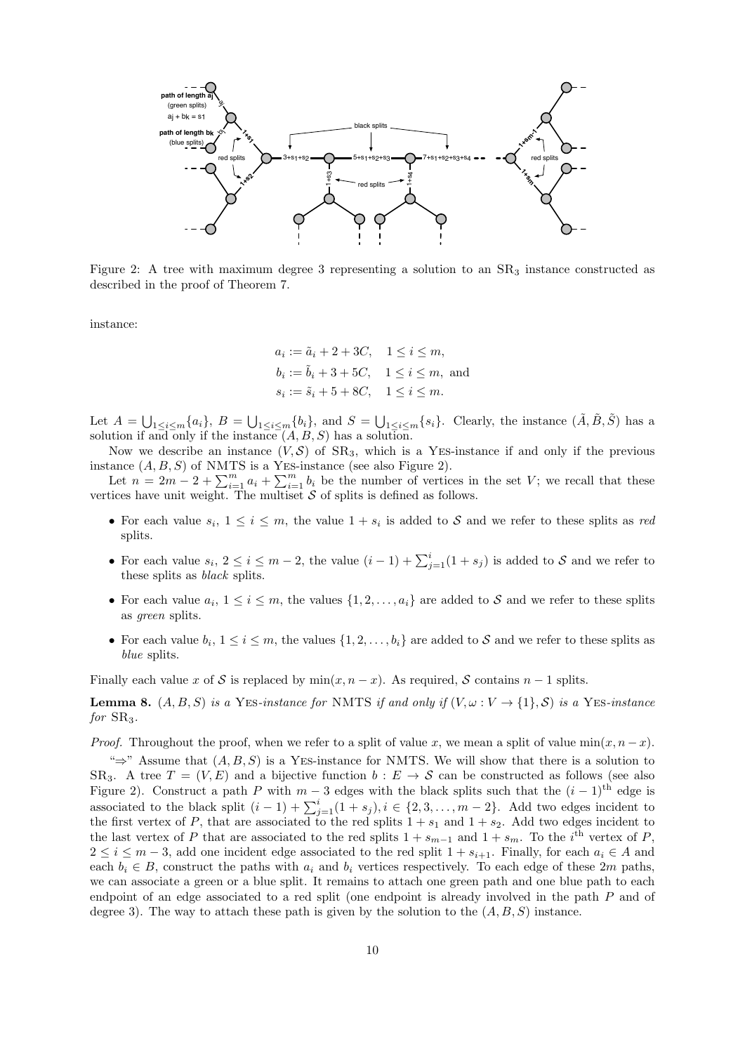

Figure 2: A tree with maximum degree 3 representing a solution to an  $SR<sub>3</sub>$  instance constructed as described in the proof of Theorem 7.

instance:

$$
a_i := \tilde{a}_i + 2 + 3C, \quad 1 \le i \le m,
$$
  
\n $b_i := \tilde{b}_i + 3 + 5C, \quad 1 \le i \le m,$  and  
\n $s_i := \tilde{s}_i + 5 + 8C, \quad 1 \le i \le m.$ 

Let  $A = \bigcup_{1 \leq i \leq m} \{a_i\}$ ,  $B = \bigcup_{1 \leq i \leq m} \{b_i\}$ , and  $S = \bigcup_{1 \leq i \leq m} \{s_i\}$ . Clearly, the instance  $(\tilde{A}, \tilde{B}, \tilde{S})$  has a solution if and only if the instance  $(A, B, S)$  has a solution.

Now we describe an instance  $(V, S)$  of  $SR<sub>3</sub>$ , which is a YES-instance if and only if the previous instance  $(A, B, S)$  of NMTS is a YES-instance (see also Figure 2).

Let  $n = 2m - 2 + \sum_{i=1}^{m} a_i + \sum_{i=1}^{m} b_i$  be the number of vertices in the set V; we recall that these vertices have unit weight. The multiset  $S$  of splits is defined as follows.

- For each value  $s_i, 1 \leq i \leq m$ , the value  $1 + s_i$  is added to S and we refer to these splits as red splits.
- For each value  $s_i, 2 \le i \le m-2$ , the value  $(i-1) + \sum_{j=1}^{i} (1+s_j)$  is added to S and we refer to these splits as black splits.
- For each value  $a_i, 1 \leq i \leq m$ , the values  $\{1, 2, \ldots, a_i\}$  are added to S and we refer to these splits as green splits.
- For each value  $b_i, 1 \le i \le m$ , the values  $\{1, 2, \ldots, b_i\}$  are added to S and we refer to these splits as blue splits.

Finally each value x of S is replaced by  $\min(x, n-x)$ . As required, S contains  $n-1$  splits.

**Lemma 8.**  $(A, B, S)$  is a YES-instance for NMTS if and only if  $(V, \omega : V \to \{1\}, S)$  is a YES-instance for  $SR<sub>3</sub>$ .

*Proof.* Throughout the proof, when we refer to a split of value x, we mean a split of value min $(x, n - x)$ .

" $\Rightarrow$ " Assume that (A, B, S) is a YES-instance for NMTS. We will show that there is a solution to SR<sub>3</sub>. A tree  $T = (V, E)$  and a bijective function  $b : E \to S$  can be constructed as follows (see also Figure 2). Construct a path P with  $m-3$  edges with the black splits such that the  $(i-1)$ <sup>th</sup> edge is associated to the black split  $(i-1) + \sum_{j=1}^{i} (1 + s_j), i \in \{2, 3, ..., m-2\}$ . Add two edges incident to the first vertex of P, that are associated to the red splits  $1 + s_1$  and  $1 + s_2$ . Add two edges incident to the last vertex of P that are associated to the red splits  $1 + s_{m-1}$  and  $1 + s_m$ . To the i<sup>th</sup> vertex of P,  $2 \leq i \leq m-3$ , add one incident edge associated to the red split  $1 + s_{i+1}$ . Finally, for each  $a_i \in A$  and each  $b_i \in B$ , construct the paths with  $a_i$  and  $b_i$  vertices respectively. To each edge of these 2m paths, we can associate a green or a blue split. It remains to attach one green path and one blue path to each endpoint of an edge associated to a red split (one endpoint is already involved in the path P and of degree 3). The way to attach these path is given by the solution to the  $(A, B, S)$  instance.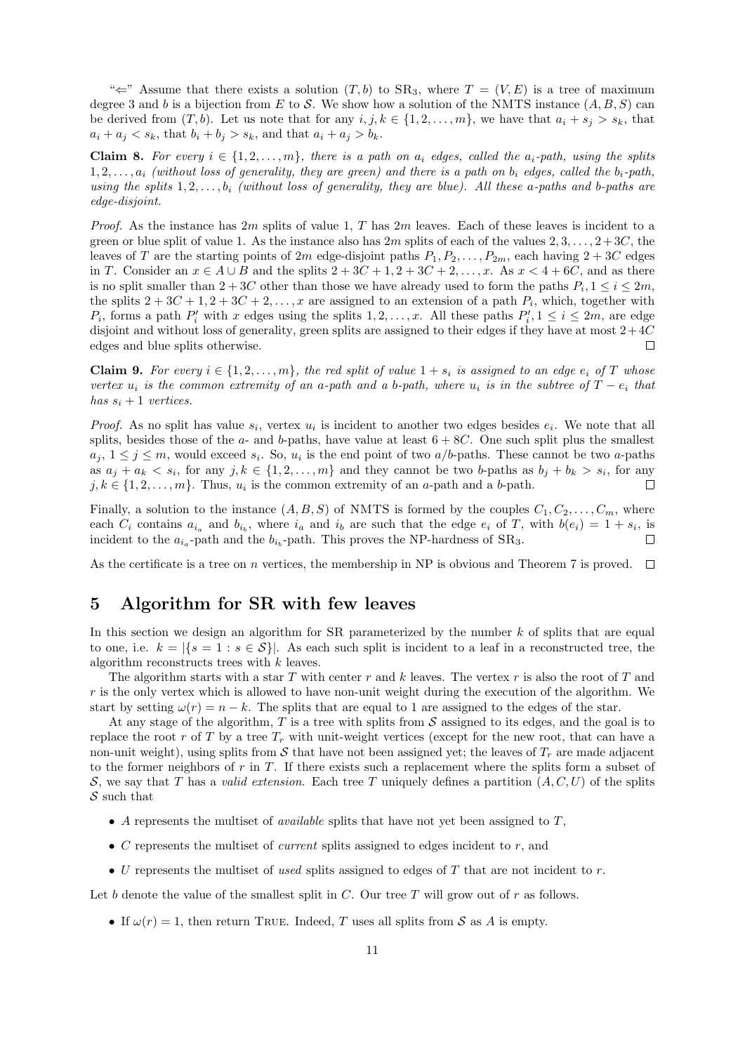$\div$  Assume that there exists a solution  $(T, b)$  to  $SR_3$ , where  $T = (V, E)$  is a tree of maximum degree 3 and b is a bijection from E to S. We show how a solution of the NMTS instance  $(A, B, S)$  can be derived from  $(T, b)$ . Let us note that for any  $i, j, k \in \{1, 2, ..., m\}$ , we have that  $a_i + s_j > s_k$ , that  $a_i + a_j < s_k$ , that  $b_i + b_j > s_k$ , and that  $a_i + a_j > b_k$ .

Claim 8. For every  $i \in \{1, 2, ..., m\}$ , there is a path on  $a_i$  edges, called the  $a_i$ -path, using the splits  $1, 2, \ldots, a_i$  (without loss of generality, they are green) and there is a path on  $b_i$  edges, called the  $b_i$ -path, using the splits  $1, 2, \ldots, b_i$  (without loss of generality, they are blue). All these a-paths and b-paths are edge-disjoint.

*Proof.* As the instance has  $2m$  splits of value 1, T has  $2m$  leaves. Each of these leaves is incident to a green or blue split of value 1. As the instance also has  $2m$  splits of each of the values  $2, 3, \ldots, 2+3C$ , the leaves of T are the starting points of 2m edge-disjoint paths  $P_1, P_2, \ldots, P_{2m}$ , each having  $2 + 3C$  edges in T. Consider an  $x \in A \cup B$  and the splits  $2 + 3C + 1$ ,  $2 + 3C + 2$ , ..., x. As  $x < 4 + 6C$ , and as there is no split smaller than  $2+3C$  other than those we have already used to form the paths  $P_i, 1 \leq i \leq 2m$ , the splits  $2+3C+1, 2+3C+2, \ldots, x$  are assigned to an extension of a path  $P_i$ , which, together with  $P_i$ , forms a path  $P'_i$  with x edges using the splits  $1, 2, ..., x$ . All these paths  $P'_i, 1 \leq i \leq 2m$ , are edge disjoint and without loss of generality, green splits are assigned to their edges if they have at most  $2+4C$ edges and blue splits otherwise.  $\Box$ 

**Claim 9.** For every  $i \in \{1, 2, ..., m\}$ , the red split of value  $1 + s_i$  is assigned to an edge  $e_i$  of T whose vertex  $u_i$  is the common extremity of an a-path and a b-path, where  $u_i$  is in the subtree of  $T - e_i$  that has  $s_i + 1$  vertices.

*Proof.* As no split has value  $s_i$ , vertex  $u_i$  is incident to another two edges besides  $e_i$ . We note that all splits, besides those of the  $a$ - and  $b$ -paths, have value at least  $6 + 8C$ . One such split plus the smallest  $a_j, 1 \leq j \leq m$ , would exceed  $s_i$ . So,  $u_i$  is the end point of two a/b-paths. These cannot be two a-paths as  $a_j + a_k < s_i$ , for any  $j, k \in \{1, 2, ..., m\}$  and they cannot be two b-paths as  $b_j + b_k > s_i$ , for any  $j, k \in \{1, 2, \ldots, m\}$ . Thus,  $u_i$  is the common extremity of an a-path and a b-path.  $\Box$ 

Finally, a solution to the instance  $(A, B, S)$  of NMTS is formed by the couples  $C_1, C_2, \ldots, C_m$ , where each  $C_i$  contains  $a_{i_a}$  and  $b_{i_b}$ , where  $i_a$  and  $i_b$  are such that the edge  $e_i$  of T, with  $b(e_i) = 1 + s_i$ , is incident to the  $a_{i_a}$ -path and the  $b_{i_b}$ -path. This proves the NP-hardness of SR<sub>3</sub>.  $\Box$ 

As the certificate is a tree on n vertices, the membership in NP is obvious and Theorem 7 is proved.  $\square$ 

### 5 Algorithm for SR with few leaves

In this section we design an algorithm for  $SR$  parameterized by the number  $k$  of splits that are equal to one, i.e.  $k = |\{s = 1 : s \in S\}|$ . As each such split is incident to a leaf in a reconstructed tree, the algorithm reconstructs trees with k leaves.

The algorithm starts with a star T with center r and k leaves. The vertex r is also the root of T and  $r$  is the only vertex which is allowed to have non-unit weight during the execution of the algorithm. We start by setting  $\omega(r) = n - k$ . The splits that are equal to 1 are assigned to the edges of the star.

At any stage of the algorithm,  $T$  is a tree with splits from  $S$  assigned to its edges, and the goal is to replace the root r of T by a tree  $T_r$  with unit-weight vertices (except for the new root, that can have a non-unit weight), using splits from S that have not been assigned yet; the leaves of  $T_r$  are made adjacent to the former neighbors of  $r$  in  $T$ . If there exists such a replacement where the splits form a subset of S, we say that T has a valid extension. Each tree T uniquely defines a partition  $(A, C, U)$  of the splits  $S$  such that

- A represents the multiset of *available* splits that have not yet been assigned to  $T$ ,
- C represents the multiset of *current* splits assigned to edges incident to  $r$ , and
- U represents the multiset of used splits assigned to edges of  $T$  that are not incident to  $r$ .

Let b denote the value of the smallest split in  $C$ . Our tree T will grow out of r as follows.

• If  $\omega(r) = 1$ , then return TRUE. Indeed, T uses all splits from S as A is empty.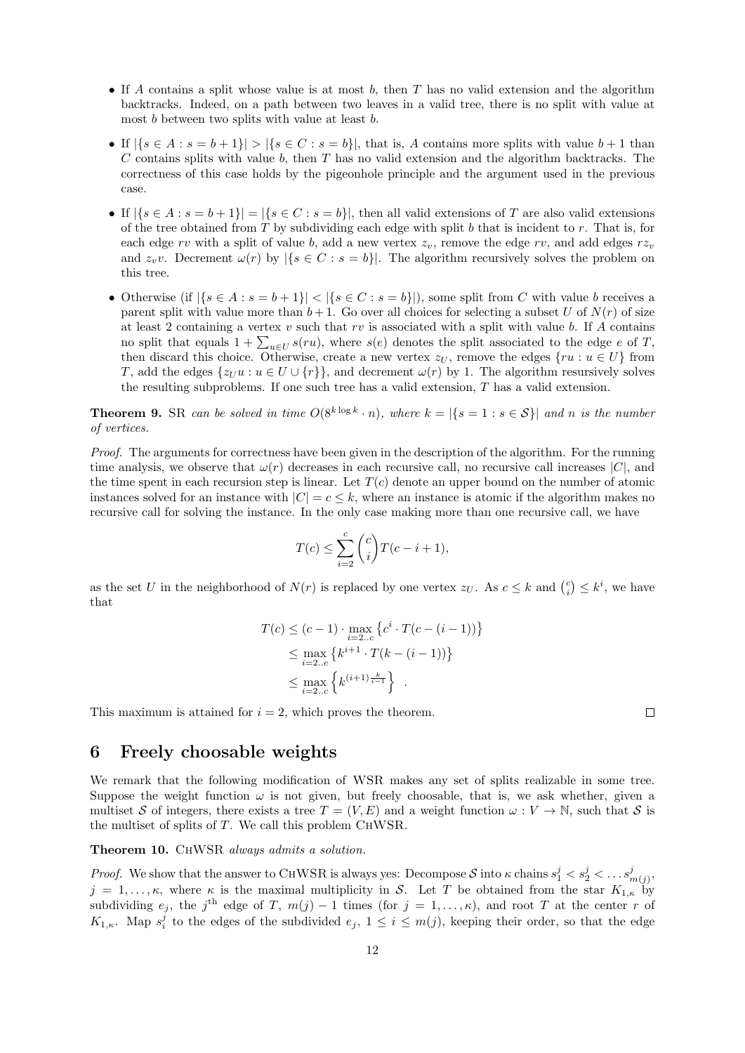- If A contains a split whose value is at most  $b$ , then  $T$  has no valid extension and the algorithm backtracks. Indeed, on a path between two leaves in a valid tree, there is no split with value at most b between two splits with value at least b.
- If  $|\{s \in A : s = b + 1\}| > |\{s \in C : s = b\}|$ , that is, A contains more splits with value  $b + 1$  than  $C$  contains splits with value  $b$ , then  $T$  has no valid extension and the algorithm backtracks. The correctness of this case holds by the pigeonhole principle and the argument used in the previous case.
- If  $|\{s \in A : s = b + 1\}| = |\{s \in C : s = b\}|$ , then all valid extensions of T are also valid extensions of the tree obtained from  $T$  by subdividing each edge with split  $b$  that is incident to  $r$ . That is, for each edge rv with a split of value b, add a new vertex  $z_v$ , remove the edge rv, and add edges  $rz_v$ and  $z_vv$ . Decrement  $\omega(r)$  by  $|\{s \in C : s = b\}|$ . The algorithm recursively solves the problem on this tree.
- Otherwise (if  $|\{s \in A : s = b + 1\}|$   $\leq |\{s \in C : s = b\}|$ ), some split from C with value b receives a parent split with value more than  $b + 1$ . Go over all choices for selecting a subset U of  $N(r)$  of size at least 2 containing a vertex v such that rv is associated with a split with value b. If A contains no split that equals  $1 + \sum_{u \in U} s(ru)$ , where  $s(e)$  denotes the split associated to the edge e of T, then discard this choice. Otherwise, create a new vertex  $z_U$ , remove the edges  $\{ru : u \in U\}$  from T, add the edges  $\{z_{U}u : u \in U \cup \{r\}\}\$ , and decrement  $\omega(r)$  by 1. The algorithm resursively solves the resulting subproblems. If one such tree has a valid extension, T has a valid extension.

**Theorem 9.** SR can be solved in time  $O(8^{k \log k} \cdot n)$ , where  $k = |\{s = 1 : s \in S\}|$  and n is the number of vertices.

Proof. The arguments for correctness have been given in the description of the algorithm. For the running time analysis, we observe that  $\omega(r)$  decreases in each recursive call, no recursive call increases  $|C|$ , and the time spent in each recursion step is linear. Let  $T(c)$  denote an upper bound on the number of atomic instances solved for an instance with  $|C| = c \leq k$ , where an instance is atomic if the algorithm makes no recursive call for solving the instance. In the only case making more than one recursive call, we have

$$
T(c) \le \sum_{i=2}^{c} {c \choose i} T(c-i+1),
$$

as the set U in the neighborhood of  $N(r)$  is replaced by one vertex  $z_U$ . As  $c \leq k$  and  $\binom{c}{i} \leq k^i$ , we have that

$$
T(c) \le (c-1) \cdot \max_{i=2...c} \{c^i \cdot T(c - (i-1))\}
$$
  
\n
$$
\le \max_{i=2...c} \{k^{i+1} \cdot T(k - (i-1))\}
$$
  
\n
$$
\le \max_{i=2...c} \{k^{(i+1)\frac{k}{i-1}}\}.
$$

This maximum is attained for  $i = 2$ , which proves the theorem.

 $\Box$ 

#### 6 Freely choosable weights

We remark that the following modification of WSR makes any set of splits realizable in some tree. Suppose the weight function  $\omega$  is not given, but freely choosable, that is, we ask whether, given a multiset S of integers, there exists a tree  $T = (V, E)$  and a weight function  $\omega : V \to \mathbb{N}$ , such that S is the multiset of splits of T. We call this problem ChWSR.

Theorem 10. CHWSR always admits a solution.

*Proof.* We show that the answer to CHWSR is always yes: Decompose S into  $\kappa$  chains  $s_1^j < s_2^j < \dots s_{m(j)}^j$ ,  $j = 1, \ldots, \kappa$ , where  $\kappa$  is the maximal multiplicity in S. Let T be obtained from the star  $K_{1,\kappa}$  by subdividing  $e_j$ , the j<sup>th</sup> edge of T,  $m(j) - 1$  times (for  $j = 1, ..., \kappa$ ), and root T at the center r of  $K_{1,\kappa}$ . Map  $s_i^j$  to the edges of the subdivided  $e_j$ ,  $1 \leq i \leq m(j)$ , keeping their order, so that the edge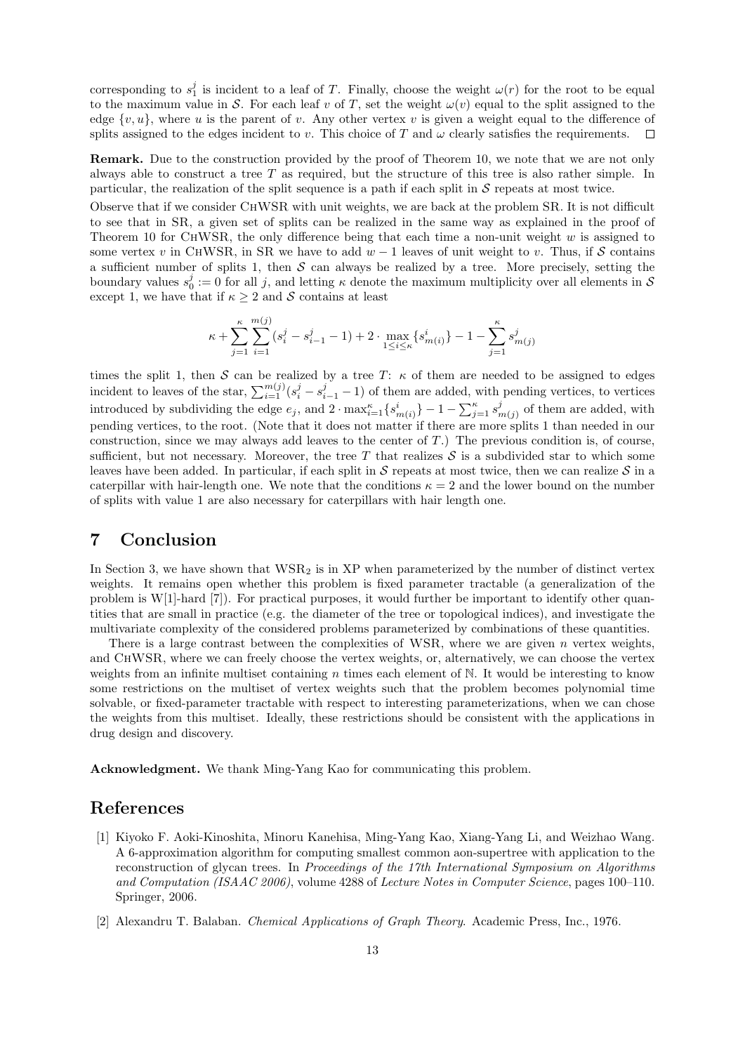corresponding to  $s_1^j$  is incident to a leaf of T. Finally, choose the weight  $\omega(r)$  for the root to be equal to the maximum value in S. For each leaf v of T, set the weight  $\omega(v)$  equal to the split assigned to the edge  $\{v, u\}$ , where u is the parent of v. Any other vertex v is given a weight equal to the difference of splits assigned to the edges incident to v. This choice of T and  $\omega$  clearly satisfies the requirements.  $\Box$ 

Remark. Due to the construction provided by the proof of Theorem 10, we note that we are not only always able to construct a tree  $T$  as required, but the structure of this tree is also rather simple. In particular, the realization of the split sequence is a path if each split in  $S$  repeats at most twice.

Observe that if we consider ChWSR with unit weights, we are back at the problem SR. It is not difficult to see that in SR, a given set of splits can be realized in the same way as explained in the proof of Theorem 10 for CHWSR, the only difference being that each time a non-unit weight  $w$  is assigned to some vertex v in CHWSR, in SR we have to add  $w-1$  leaves of unit weight to v. Thus, if S contains a sufficient number of splits 1, then  $S$  can always be realized by a tree. More precisely, setting the boundary values  $s_0^j := 0$  for all j, and letting  $\kappa$  denote the maximum multiplicity over all elements in S except 1, we have that if  $\kappa \geq 2$  and S contains at least

$$
\kappa + \sum_{j=1}^{\kappa} \sum_{i=1}^{m(j)} (s_i^j - s_{i-1}^j - 1) + 2 \cdot \max_{1 \le i \le \kappa} \{ s_{m(i)}^i \} - 1 - \sum_{j=1}^{\kappa} s_{m(j)}^j
$$

times the split 1, then S can be realized by a tree T:  $\kappa$  of them are needed to be assigned to edges incident to leaves of the star,  $\sum_{i=1}^{m(j)} (s_i^j - s_{i-1}^j - 1)$  of them are added, with pending vertices, to vertices introduced by subdividing the edge  $e_j$ , and  $2 \cdot \max_{i=1}^{\kappa} \{s_{m(i)}^i\} - 1 - \sum_{j=1}^{\kappa} s_j^j$  $m(j)$  of them are added, with pending vertices, to the root. (Note that it does not matter if there are more splits 1 than needed in our construction, since we may always add leaves to the center of  $T$ .) The previous condition is, of course, sufficient, but not necessary. Moreover, the tree T that realizes  $S$  is a subdivided star to which some leaves have been added. In particular, if each split in  $S$  repeats at most twice, then we can realize  $S$  in a caterpillar with hair-length one. We note that the conditions  $\kappa = 2$  and the lower bound on the number of splits with value 1 are also necessary for caterpillars with hair length one.

#### 7 Conclusion

In Section 3, we have shown that  $WSR<sub>2</sub>$  is in XP when parameterized by the number of distinct vertex weights. It remains open whether this problem is fixed parameter tractable (a generalization of the problem is  $W[1]$ -hard [7]). For practical purposes, it would further be important to identify other quantities that are small in practice (e.g. the diameter of the tree or topological indices), and investigate the multivariate complexity of the considered problems parameterized by combinations of these quantities.

There is a large contrast between the complexities of WSR, where we are given  $n$  vertex weights, and ChWSR, where we can freely choose the vertex weights, or, alternatively, we can choose the vertex weights from an infinite multiset containing n times each element of  $\mathbb N$ . It would be interesting to know some restrictions on the multiset of vertex weights such that the problem becomes polynomial time solvable, or fixed-parameter tractable with respect to interesting parameterizations, when we can chose the weights from this multiset. Ideally, these restrictions should be consistent with the applications in drug design and discovery.

Acknowledgment. We thank Ming-Yang Kao for communicating this problem.

#### References

- [1] Kiyoko F. Aoki-Kinoshita, Minoru Kanehisa, Ming-Yang Kao, Xiang-Yang Li, and Weizhao Wang. A 6-approximation algorithm for computing smallest common aon-supertree with application to the reconstruction of glycan trees. In Proceedings of the 17th International Symposium on Algorithms and Computation (ISAAC 2006), volume 4288 of Lecture Notes in Computer Science, pages 100–110. Springer, 2006.
- [2] Alexandru T. Balaban. Chemical Applications of Graph Theory. Academic Press, Inc., 1976.